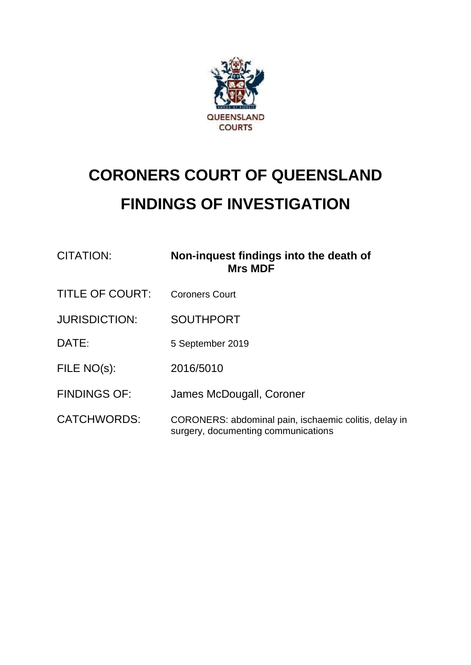

# **CORONERS COURT OF QUEENSLAND FINDINGS OF INVESTIGATION**

| <b>CITATION:</b>       | Non-inquest findings into the death of<br><b>Mrs MDF</b>                                     |
|------------------------|----------------------------------------------------------------------------------------------|
| <b>TITLE OF COURT:</b> | <b>Coroners Court</b>                                                                        |
| <b>JURISDICTION:</b>   | <b>SOUTHPORT</b>                                                                             |
| DATE:                  | 5 September 2019                                                                             |
| FILE NO(s):            | 2016/5010                                                                                    |
| <b>FINDINGS OF:</b>    | James McDougall, Coroner                                                                     |
| <b>CATCHWORDS:</b>     | CORONERS: abdominal pain, ischaemic colitis, delay in<br>surgery, documenting communications |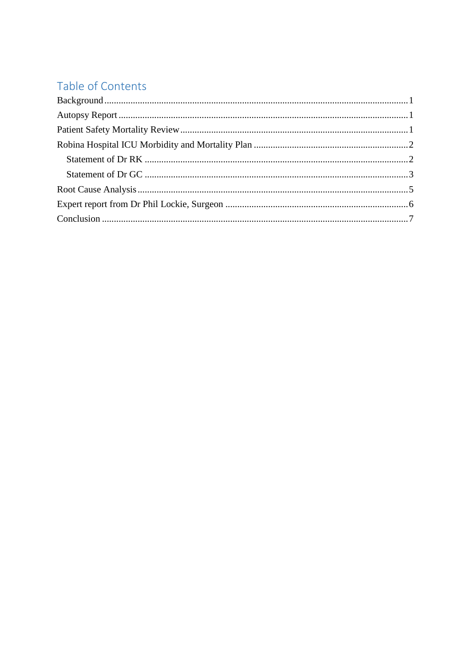# Table of Contents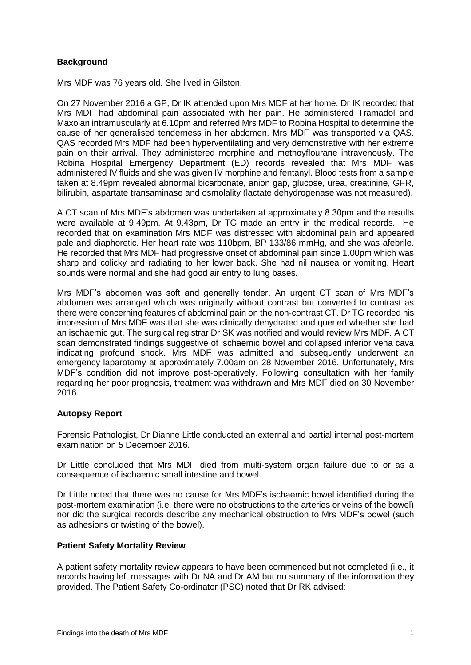# <span id="page-2-0"></span>**Background**

Mrs MDF was 76 years old. She lived in Gilston.

On 27 November 2016 a GP, Dr IK attended upon Mrs MDF at her home. Dr IK recorded that Mrs MDF had abdominal pain associated with her pain. He administered Tramadol and Maxolan intramuscularly at 6.10pm and referred Mrs MDF to Robina Hospital to determine the cause of her generalised tenderness in her abdomen. Mrs MDF was transported via QAS. QAS recorded Mrs MDF had been hyperventilating and very demonstrative with her extreme pain on their arrival. They administered morphine and methoyflourane intravenously. The Robina Hospital Emergency Department (ED) records revealed that Mrs MDF was administered IV fluids and she was given IV morphine and fentanyl. Blood tests from a sample taken at 8.49pm revealed abnormal bicarbonate, anion gap, glucose, urea, creatinine, GFR, bilirubin, aspartate transaminase and osmolality (lactate dehydrogenase was not measured).

A CT scan of Mrs MDF's abdomen was undertaken at approximately 8.30pm and the results were available at 9.49pm. At 9.43pm, Dr TG made an entry in the medical records. He recorded that on examination Mrs MDF was distressed with abdominal pain and appeared pale and diaphoretic. Her heart rate was 110bpm, BP 133/86 mmHg, and she was afebrile. He recorded that Mrs MDF had progressive onset of abdominal pain since 1.00pm which was sharp and colicky and radiating to her lower back. She had nil nausea or vomiting. Heart sounds were normal and she had good air entry to lung bases.

Mrs MDF's abdomen was soft and generally tender. An urgent CT scan of Mrs MDF's abdomen was arranged which was originally without contrast but converted to contrast as there were concerning features of abdominal pain on the non-contrast CT. Dr TG recorded his impression of Mrs MDF was that she was clinically dehydrated and queried whether she had an ischaemic gut. The surgical registrar Dr SK was notified and would review Mrs MDF. A CT scan demonstrated findings suggestive of ischaemic bowel and collapsed inferior vena cava indicating profound shock. Mrs MDF was admitted and subsequently underwent an emergency laparotomy at approximately 7.00am on 28 November 2016. Unfortunately, Mrs MDF's condition did not improve post-operatively. Following consultation with her family regarding her poor prognosis, treatment was withdrawn and Mrs MDF died on 30 November 2016.

# <span id="page-2-1"></span>**Autopsy Report**

Forensic Pathologist, Dr Dianne Little conducted an external and partial internal post-mortem examination on 5 December 2016.

Dr Little concluded that Mrs MDF died from multi-system organ failure due to or as a consequence of ischaemic small intestine and bowel.

Dr Little noted that there was no cause for Mrs MDF's ischaemic bowel identified during the post-mortem examination (i.e. there were no obstructions to the arteries or veins of the bowel) nor did the surgical records describe any mechanical obstruction to Mrs MDF's bowel (such as adhesions or twisting of the bowel).

# <span id="page-2-2"></span>**Patient Safety Mortality Review**

A patient safety mortality review appears to have been commenced but not completed (i.e., it records having left messages with Dr NA and Dr AM but no summary of the information they provided. The Patient Safety Co-ordinator (PSC) noted that Dr RK advised: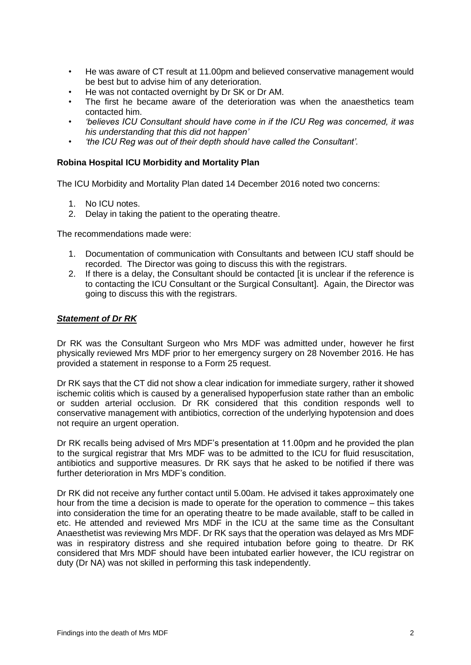- He was aware of CT result at 11.00pm and believed conservative management would be best but to advise him of any deterioration.
- He was not contacted overnight by Dr SK or Dr AM.
- The first he became aware of the deterioration was when the anaesthetics team contacted him.
- *'believes ICU Consultant should have come in if the ICU Reg was concerned, it was his understanding that this did not happen'*
- *• 'the ICU Reg was out of their depth should have called the Consultant'.*

#### <span id="page-3-0"></span>**Robina Hospital ICU Morbidity and Mortality Plan**

The ICU Morbidity and Mortality Plan dated 14 December 2016 noted two concerns:

- 1. No ICU notes.
- 2. Delay in taking the patient to the operating theatre.

The recommendations made were:

- 1. Documentation of communication with Consultants and between ICU staff should be recorded. The Director was going to discuss this with the registrars.
- 2. If there is a delay, the Consultant should be contacted lit is unclear if the reference is to contacting the ICU Consultant or the Surgical Consultant]. Again, the Director was going to discuss this with the registrars.

#### <span id="page-3-1"></span>*Statement of Dr RK*

Dr RK was the Consultant Surgeon who Mrs MDF was admitted under, however he first physically reviewed Mrs MDF prior to her emergency surgery on 28 November 2016. He has provided a statement in response to a Form 25 request.

Dr RK says that the CT did not show a clear indication for immediate surgery, rather it showed ischemic colitis which is caused by a generalised hypoperfusion state rather than an embolic or sudden arterial occlusion. Dr RK considered that this condition responds well to conservative management with antibiotics, correction of the underlying hypotension and does not require an urgent operation.

Dr RK recalls being advised of Mrs MDF's presentation at 11.00pm and he provided the plan to the surgical registrar that Mrs MDF was to be admitted to the ICU for fluid resuscitation, antibiotics and supportive measures. Dr RK says that he asked to be notified if there was further deterioration in Mrs MDF's condition.

Dr RK did not receive any further contact until 5.00am. He advised it takes approximately one hour from the time a decision is made to operate for the operation to commence – this takes into consideration the time for an operating theatre to be made available, staff to be called in etc. He attended and reviewed Mrs MDF in the ICU at the same time as the Consultant Anaesthetist was reviewing Mrs MDF. Dr RK says that the operation was delayed as Mrs MDF was in respiratory distress and she required intubation before going to theatre. Dr RK considered that Mrs MDF should have been intubated earlier however, the ICU registrar on duty (Dr NA) was not skilled in performing this task independently.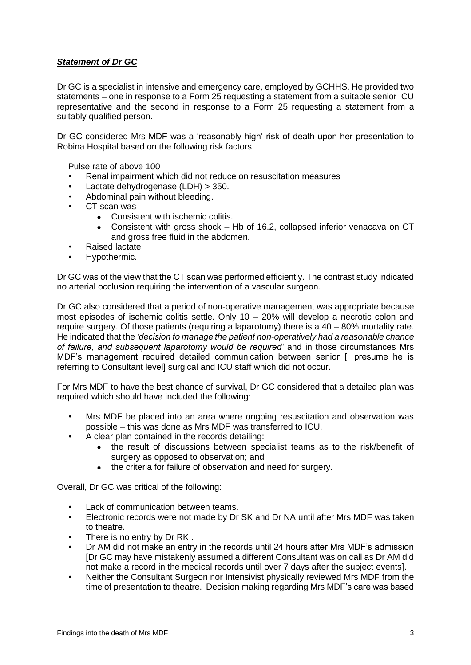# <span id="page-4-0"></span>*Statement of Dr GC*

Dr GC is a specialist in intensive and emergency care, employed by GCHHS. He provided two statements – one in response to a Form 25 requesting a statement from a suitable senior ICU representative and the second in response to a Form 25 requesting a statement from a suitably qualified person.

Dr GC considered Mrs MDF was a 'reasonably high' risk of death upon her presentation to Robina Hospital based on the following risk factors:

Pulse rate of above 100

- Renal impairment which did not reduce on resuscitation measures
- Lactate dehydrogenase (LDH) > 350.
- Abdominal pain without bleeding.
- CT scan was
	- Consistent with ischemic colitis.
		- Consistent with gross shock Hb of 16.2, collapsed inferior venacava on CT and gross free fluid in the abdomen.
- Raised lactate.
- Hypothermic.

Dr GC was of the view that the CT scan was performed efficiently. The contrast study indicated no arterial occlusion requiring the intervention of a vascular surgeon.

Dr GC also considered that a period of non-operative management was appropriate because most episodes of ischemic colitis settle. Only 10 – 20% will develop a necrotic colon and require surgery. Of those patients (requiring a laparotomy) there is a 40 – 80% mortality rate. He indicated that the *'decision to manage the patient non-operatively had a reasonable chance of failure, and subsequent laparotomy would be required'* and in those circumstances Mrs MDF's management required detailed communication between senior [I presume he is referring to Consultant level] surgical and ICU staff which did not occur.

For Mrs MDF to have the best chance of survival, Dr GC considered that a detailed plan was required which should have included the following:

- Mrs MDF be placed into an area where ongoing resuscitation and observation was possible – this was done as Mrs MDF was transferred to ICU.
- A clear plan contained in the records detailing:
	- the result of discussions between specialist teams as to the risk/benefit of surgery as opposed to observation; and
	- the criteria for failure of observation and need for surgery.

Overall, Dr GC was critical of the following:

- Lack of communication between teams.
- Electronic records were not made by Dr SK and Dr NA until after Mrs MDF was taken to theatre.
- There is no entry by Dr RK.
- Dr AM did not make an entry in the records until 24 hours after Mrs MDF's admission [Dr GC may have mistakenly assumed a different Consultant was on call as Dr AM did not make a record in the medical records until over 7 days after the subject events].
- Neither the Consultant Surgeon nor Intensivist physically reviewed Mrs MDF from the time of presentation to theatre. Decision making regarding Mrs MDF's care was based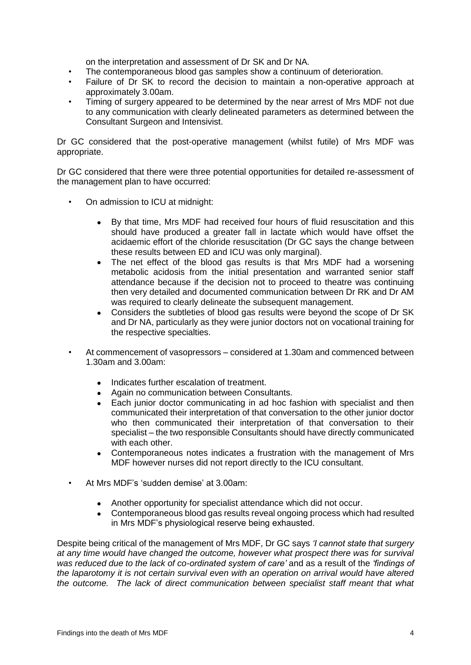on the interpretation and assessment of Dr SK and Dr NA.

- The contemporaneous blood gas samples show a continuum of deterioration.
- Failure of Dr SK to record the decision to maintain a non-operative approach at approximately 3.00am.
- Timing of surgery appeared to be determined by the near arrest of Mrs MDF not due to any communication with clearly delineated parameters as determined between the Consultant Surgeon and Intensivist.

Dr GC considered that the post-operative management (whilst futile) of Mrs MDF was appropriate.

Dr GC considered that there were three potential opportunities for detailed re-assessment of the management plan to have occurred:

- On admission to ICU at midnight:
	- By that time, Mrs MDF had received four hours of fluid resuscitation and this should have produced a greater fall in lactate which would have offset the acidaemic effort of the chloride resuscitation (Dr GC says the change between these results between ED and ICU was only marginal).
	- The net effect of the blood gas results is that Mrs MDF had a worsening metabolic acidosis from the initial presentation and warranted senior staff attendance because if the decision not to proceed to theatre was continuing then very detailed and documented communication between Dr RK and Dr AM was required to clearly delineate the subsequent management.
	- Considers the subtleties of blood gas results were beyond the scope of Dr SK and Dr NA, particularly as they were junior doctors not on vocational training for the respective specialties.
- At commencement of vasopressors considered at 1.30am and commenced between 1.30am and 3.00am:
	- Indicates further escalation of treatment.
	- Again no communication between Consultants.
	- Each junior doctor communicating in ad hoc fashion with specialist and then communicated their interpretation of that conversation to the other junior doctor who then communicated their interpretation of that conversation to their specialist – the two responsible Consultants should have directly communicated with each other.
	- Contemporaneous notes indicates a frustration with the management of Mrs MDF however nurses did not report directly to the ICU consultant.
- At Mrs MDF's 'sudden demise' at 3.00am:
	- Another opportunity for specialist attendance which did not occur.
	- Contemporaneous blood gas results reveal ongoing process which had resulted in Mrs MDF's physiological reserve being exhausted.

Despite being critical of the management of Mrs MDF, Dr GC says *'I cannot state that surgery at any time would have changed the outcome, however what prospect there was for survival was reduced due to the lack of co-ordinated system of care'* and as a result of the *'findings of the laparotomy it is not certain survival even with an operation on arrival would have altered the outcome. The lack of direct communication between specialist staff meant that what*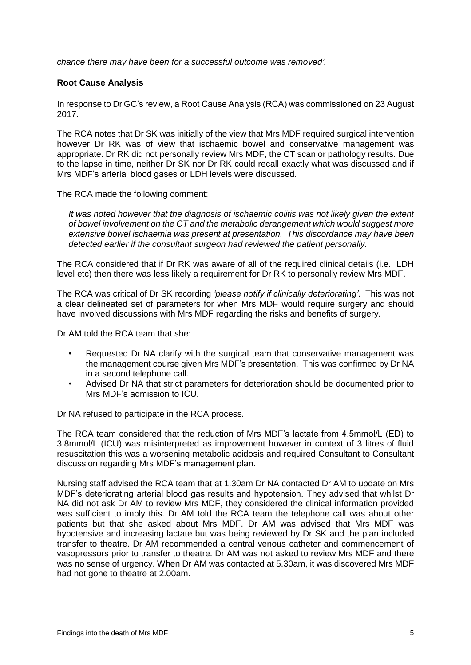<span id="page-6-0"></span>*chance there may have been for a successful outcome was removed'.*

# **Root Cause Analysis**

In response to Dr GC's review, a Root Cause Analysis (RCA) was commissioned on 23 August 2017.

The RCA notes that Dr SK was initially of the view that Mrs MDF required surgical intervention however Dr RK was of view that ischaemic bowel and conservative management was appropriate. Dr RK did not personally review Mrs MDF, the CT scan or pathology results. Due to the lapse in time, neither Dr SK nor Dr RK could recall exactly what was discussed and if Mrs MDF's arterial blood gases or LDH levels were discussed.

The RCA made the following comment:

*It was noted however that the diagnosis of ischaemic colitis was not likely given the extent of bowel involvement on the CT and the metabolic derangement which would suggest more extensive bowel ischaemia was present at presentation. This discordance may have been detected earlier if the consultant surgeon had reviewed the patient personally.*

The RCA considered that if Dr RK was aware of all of the required clinical details (i.e. LDH level etc) then there was less likely a requirement for Dr RK to personally review Mrs MDF.

The RCA was critical of Dr SK recording *'please notify if clinically deteriorating'*. This was not a clear delineated set of parameters for when Mrs MDF would require surgery and should have involved discussions with Mrs MDF regarding the risks and benefits of surgery.

Dr AM told the RCA team that she:

- Requested Dr NA clarify with the surgical team that conservative management was the management course given Mrs MDF's presentation. This was confirmed by Dr NA in a second telephone call.
- Advised Dr NA that strict parameters for deterioration should be documented prior to Mrs MDF's admission to ICU.

Dr NA refused to participate in the RCA process.

The RCA team considered that the reduction of Mrs MDF's lactate from 4.5mmol/L (ED) to 3.8mmol/L (ICU) was misinterpreted as improvement however in context of 3 litres of fluid resuscitation this was a worsening metabolic acidosis and required Consultant to Consultant discussion regarding Mrs MDF's management plan.

Nursing staff advised the RCA team that at 1.30am Dr NA contacted Dr AM to update on Mrs MDF's deteriorating arterial blood gas results and hypotension. They advised that whilst Dr NA did not ask Dr AM to review Mrs MDF, they considered the clinical information provided was sufficient to imply this. Dr AM told the RCA team the telephone call was about other patients but that she asked about Mrs MDF. Dr AM was advised that Mrs MDF was hypotensive and increasing lactate but was being reviewed by Dr SK and the plan included transfer to theatre. Dr AM recommended a central venous catheter and commencement of vasopressors prior to transfer to theatre. Dr AM was not asked to review Mrs MDF and there was no sense of urgency. When Dr AM was contacted at 5.30am, it was discovered Mrs MDF had not gone to theatre at 2.00am.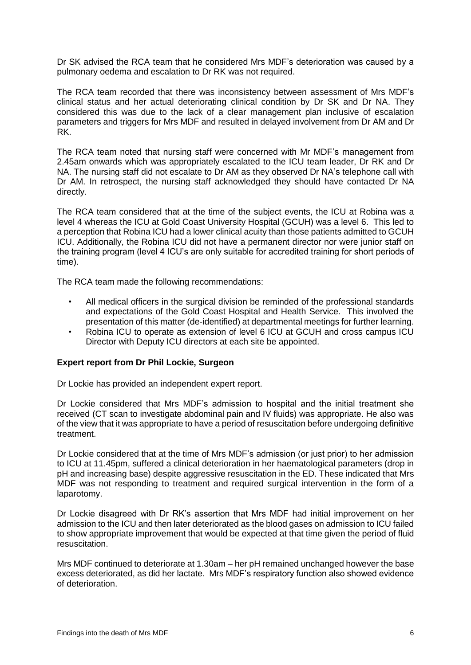Dr SK advised the RCA team that he considered Mrs MDF's deterioration was caused by a pulmonary oedema and escalation to Dr RK was not required.

The RCA team recorded that there was inconsistency between assessment of Mrs MDF's clinical status and her actual deteriorating clinical condition by Dr SK and Dr NA. They considered this was due to the lack of a clear management plan inclusive of escalation parameters and triggers for Mrs MDF and resulted in delayed involvement from Dr AM and Dr RK.

The RCA team noted that nursing staff were concerned with Mr MDF's management from 2.45am onwards which was appropriately escalated to the ICU team leader, Dr RK and Dr NA. The nursing staff did not escalate to Dr AM as they observed Dr NA's telephone call with Dr AM. In retrospect, the nursing staff acknowledged they should have contacted Dr NA directly.

The RCA team considered that at the time of the subject events, the ICU at Robina was a level 4 whereas the ICU at Gold Coast University Hospital (GCUH) was a level 6. This led to a perception that Robina ICU had a lower clinical acuity than those patients admitted to GCUH ICU. Additionally, the Robina ICU did not have a permanent director nor were junior staff on the training program (level 4 ICU's are only suitable for accredited training for short periods of time).

The RCA team made the following recommendations:

- All medical officers in the surgical division be reminded of the professional standards and expectations of the Gold Coast Hospital and Health Service. This involved the presentation of this matter (de-identified) at departmental meetings for further learning.
- Robina ICU to operate as extension of level 6 ICU at GCUH and cross campus ICU Director with Deputy ICU directors at each site be appointed.

# <span id="page-7-0"></span>**Expert report from Dr Phil Lockie, Surgeon**

Dr Lockie has provided an independent expert report.

Dr Lockie considered that Mrs MDF's admission to hospital and the initial treatment she received (CT scan to investigate abdominal pain and IV fluids) was appropriate. He also was of the view that it was appropriate to have a period of resuscitation before undergoing definitive treatment.

Dr Lockie considered that at the time of Mrs MDF's admission (or just prior) to her admission to ICU at 11.45pm, suffered a clinical deterioration in her haematological parameters (drop in pH and increasing base) despite aggressive resuscitation in the ED. These indicated that Mrs MDF was not responding to treatment and required surgical intervention in the form of a laparotomy.

Dr Lockie disagreed with Dr RK's assertion that Mrs MDF had initial improvement on her admission to the ICU and then later deteriorated as the blood gases on admission to ICU failed to show appropriate improvement that would be expected at that time given the period of fluid resuscitation.

Mrs MDF continued to deteriorate at 1.30am – her pH remained unchanged however the base excess deteriorated, as did her lactate. Mrs MDF's respiratory function also showed evidence of deterioration.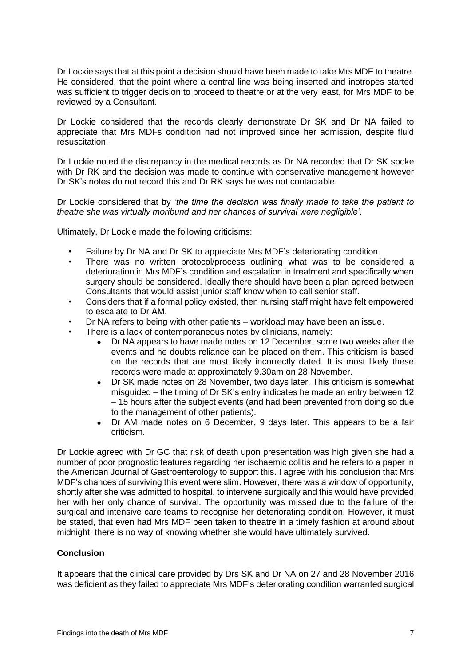Dr Lockie says that at this point a decision should have been made to take Mrs MDF to theatre. He considered, that the point where a central line was being inserted and inotropes started was sufficient to trigger decision to proceed to theatre or at the very least, for Mrs MDF to be reviewed by a Consultant.

Dr Lockie considered that the records clearly demonstrate Dr SK and Dr NA failed to appreciate that Mrs MDFs condition had not improved since her admission, despite fluid resuscitation.

Dr Lockie noted the discrepancy in the medical records as Dr NA recorded that Dr SK spoke with Dr RK and the decision was made to continue with conservative management however Dr SK's notes do not record this and Dr RK says he was not contactable.

Dr Lockie considered that by *'the time the decision was finally made to take the patient to theatre she was virtually moribund and her chances of survival were negligible'.*

Ultimately, Dr Lockie made the following criticisms:

- Failure by Dr NA and Dr SK to appreciate Mrs MDF's deteriorating condition.
- There was no written protocol/process outlining what was to be considered a deterioration in Mrs MDF's condition and escalation in treatment and specifically when surgery should be considered. Ideally there should have been a plan agreed between Consultants that would assist junior staff know when to call senior staff.
- Considers that if a formal policy existed, then nursing staff might have felt empowered to escalate to Dr AM.
- Dr NA refers to being with other patients workload may have been an issue.
- There is a lack of contemporaneous notes by clinicians, namely:
	- Dr NA appears to have made notes on 12 December, some two weeks after the events and he doubts reliance can be placed on them. This criticism is based on the records that are most likely incorrectly dated. It is most likely these records were made at approximately 9.30am on 28 November.
	- Dr SK made notes on 28 November, two days later. This criticism is somewhat misguided – the timing of Dr SK's entry indicates he made an entry between 12 – 15 hours after the subject events (and had been prevented from doing so due to the management of other patients).
	- Dr AM made notes on 6 December, 9 days later. This appears to be a fair criticism.

Dr Lockie agreed with Dr GC that risk of death upon presentation was high given she had a number of poor prognostic features regarding her ischaemic colitis and he refers to a paper in the American Journal of Gastroenterology to support this. I agree with his conclusion that Mrs MDF's chances of surviving this event were slim. However, there was a window of opportunity, shortly after she was admitted to hospital, to intervene surgically and this would have provided her with her only chance of survival. The opportunity was missed due to the failure of the surgical and intensive care teams to recognise her deteriorating condition. However, it must be stated, that even had Mrs MDF been taken to theatre in a timely fashion at around about midnight, there is no way of knowing whether she would have ultimately survived.

# <span id="page-8-0"></span>**Conclusion**

It appears that the clinical care provided by Drs SK and Dr NA on 27 and 28 November 2016 was deficient as they failed to appreciate Mrs MDF's deteriorating condition warranted surgical